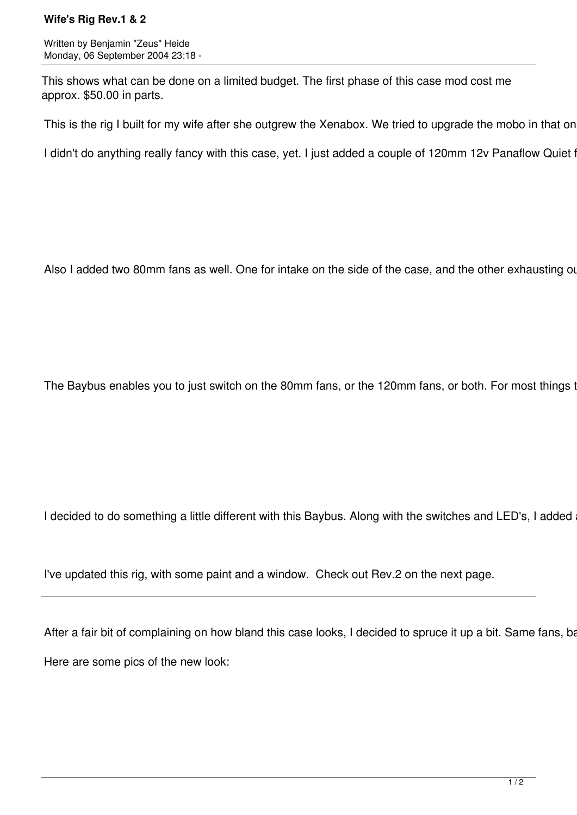## **Wife's Rig Rev.1 & 2**

Written by Benjamin "Zeus" Heide Monday, 06 September 2004 23:18 -

This shows what can be done on a limited budget. The first phase of this case mod cost me approx. \$50.00 in parts.

This is the rig I built for my wife after she outgrew the Xenabox. We tried to upgrade the mobo in that on

I didn't do anything really fancy with this case, yet. I just added a couple of 120mm 12v Panaflow Quiet for

Also I added two 80mm fans as well. One for intake on the side of the case, and the other exhausting out

The Baybus enables you to just switch on the 80mm fans, or the 120mm fans, or both. For most things t

I decided to do something a little different with this Baybus. Along with the switches and LED's, I added

I've updated this rig, with some paint and a window. Check out Rev.2 on the next page.

After a fair bit of complaining on how bland this case looks, I decided to spruce it up a bit. Same fans, bay Here are some pics of the new look: